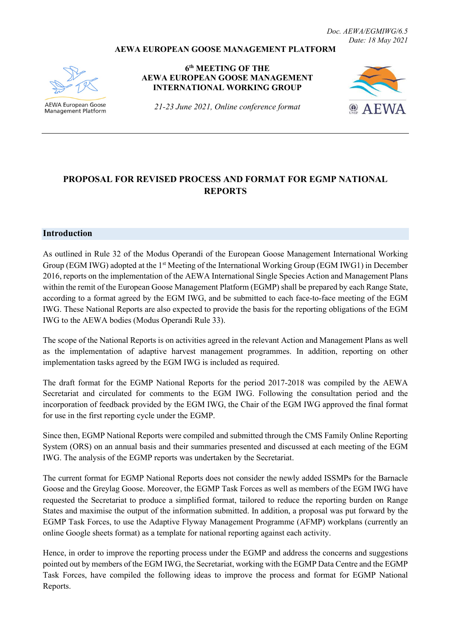*Doc. AEWA/EGMIWG/6.5 Date: 18 May 2021*

#### **AEWA EUROPEAN GOOSE MANAGEMENT PLATFORM**



AEWA European Goose **Management Platform** 

**6th MEETING OF THE AEWA EUROPEAN GOOSE MANAGEMENT INTERNATIONAL WORKING GROUP**

*21-23 June 2021, Online conference format*



# **PROPOSAL FOR REVISED PROCESS AND FORMAT FOR EGMP NATIONAL REPORTS**

#### **Introduction**

As outlined in Rule 32 of the Modus Operandi of the European Goose Management International Working Group (EGM IWG) adopted at the 1<sup>st</sup> Meeting of the International Working Group (EGM IWG1) in December 2016, reports on the implementation of the AEWA International Single Species Action and Management Plans within the remit of the European Goose Management Platform (EGMP) shall be prepared by each Range State, according to a format agreed by the EGM IWG, and be submitted to each face-to-face meeting of the EGM IWG. These National Reports are also expected to provide the basis for the reporting obligations of the EGM IWG to the AEWA bodies (Modus Operandi Rule 33).

The scope of the National Reports is on activities agreed in the relevant Action and Management Plans as well as the implementation of adaptive harvest management programmes. In addition, reporting on other implementation tasks agreed by the EGM IWG is included as required.

The draft format for the EGMP National Reports for the period 2017-2018 was compiled by the AEWA Secretariat and circulated for comments to the EGM IWG. Following the consultation period and the incorporation of feedback provided by the EGM IWG, the Chair of the EGM IWG approved the final format for use in the first reporting cycle under the EGMP.

Since then, EGMP National Reports were compiled and submitted through the CMS Family Online Reporting System (ORS) on an annual basis and their summaries presented and discussed at each meeting of the EGM IWG. The analysis of the EGMP reports was undertaken by the Secretariat.

The current format for EGMP National Reports does not consider the newly added ISSMPs for the Barnacle Goose and the Greylag Goose. Moreover, the EGMP Task Forces as well as members of the EGM IWG have requested the Secretariat to produce a simplified format, tailored to reduce the reporting burden on Range States and maximise the output of the information submitted. In addition, a proposal was put forward by the EGMP Task Forces, to use the Adaptive Flyway Management Programme (AFMP) workplans (currently an online Google sheets format) as a template for national reporting against each activity.

Hence, in order to improve the reporting process under the EGMP and address the concerns and suggestions pointed out by members of the EGM IWG, the Secretariat, working with the EGMP Data Centre and the EGMP Task Forces, have compiled the following ideas to improve the process and format for EGMP National Reports.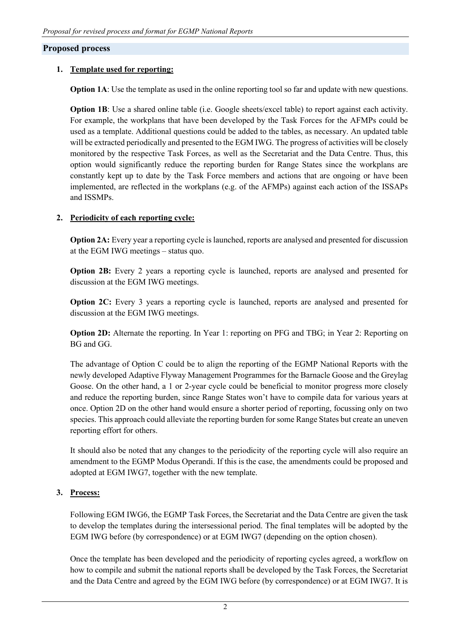### **Proposed process**

### **1. Template used for reporting:**

**Option 1A**: Use the template as used in the online reporting tool so far and update with new questions.

**Option 1B**: Use a shared online table (i.e. Google sheets/excel table) to report against each activity. For example, the workplans that have been developed by the Task Forces for the AFMPs could be used as a template. Additional questions could be added to the tables, as necessary. An updated table will be extracted periodically and presented to the EGM IWG. The progress of activities will be closely monitored by the respective Task Forces, as well as the Secretariat and the Data Centre. Thus, this option would significantly reduce the reporting burden for Range States since the workplans are constantly kept up to date by the Task Force members and actions that are ongoing or have been implemented, are reflected in the workplans (e.g. of the AFMPs) against each action of the ISSAPs and ISSMPs.

### **2. Periodicity of each reporting cycle:**

**Option 2A:** Every year a reporting cycle is launched, reports are analysed and presented for discussion at the EGM IWG meetings – status quo.

**Option 2B:** Every 2 years a reporting cycle is launched, reports are analysed and presented for discussion at the EGM IWG meetings.

**Option 2C:** Every 3 years a reporting cycle is launched, reports are analysed and presented for discussion at the EGM IWG meetings.

**Option 2D:** Alternate the reporting. In Year 1: reporting on PFG and TBG; in Year 2: Reporting on BG and GG.

The advantage of Option C could be to align the reporting of the EGMP National Reports with the newly developed Adaptive Flyway Management Programmes for the Barnacle Goose and the Greylag Goose. On the other hand, a 1 or 2-year cycle could be beneficial to monitor progress more closely and reduce the reporting burden, since Range States won't have to compile data for various years at once. Option 2D on the other hand would ensure a shorter period of reporting, focussing only on two species. This approach could alleviate the reporting burden for some Range States but create an uneven reporting effort for others.

It should also be noted that any changes to the periodicity of the reporting cycle will also require an amendment to the EGMP Modus Operandi. If this is the case, the amendments could be proposed and adopted at EGM IWG7, together with the new template.

## **3. Process:**

Following EGM IWG6, the EGMP Task Forces, the Secretariat and the Data Centre are given the task to develop the templates during the intersessional period. The final templates will be adopted by the EGM IWG before (by correspondence) or at EGM IWG7 (depending on the option chosen).

Once the template has been developed and the periodicity of reporting cycles agreed, a workflow on how to compile and submit the national reports shall be developed by the Task Forces, the Secretariat and the Data Centre and agreed by the EGM IWG before (by correspondence) or at EGM IWG7. It is